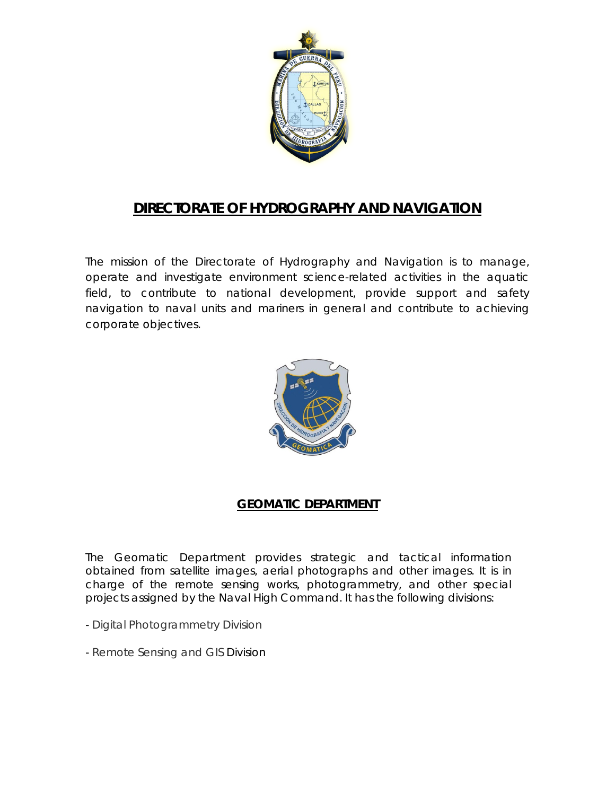

# **DIRECTORATE OF HYDROGRAPHY AND NAVIGATION**

The mission of the Directorate of Hydrography and Navigation is to manage, operate and investigate environment science-related activities in the aquatic field, to contribute to national development, provide support and safety navigation to naval units and mariners in general and contribute to achieving corporate objectives.



# **GEOMATIC DEPARTMENT**

The Geomatic Department provides strategic and tactical information obtained from satellite images, aerial photographs and other images. It is in charge of the remote sensing works, photogrammetry, and other special projects assigned by the Naval High Command. It has the following divisions:

- Digital Photogrammetry Division
- Remote Sensing and GIS Division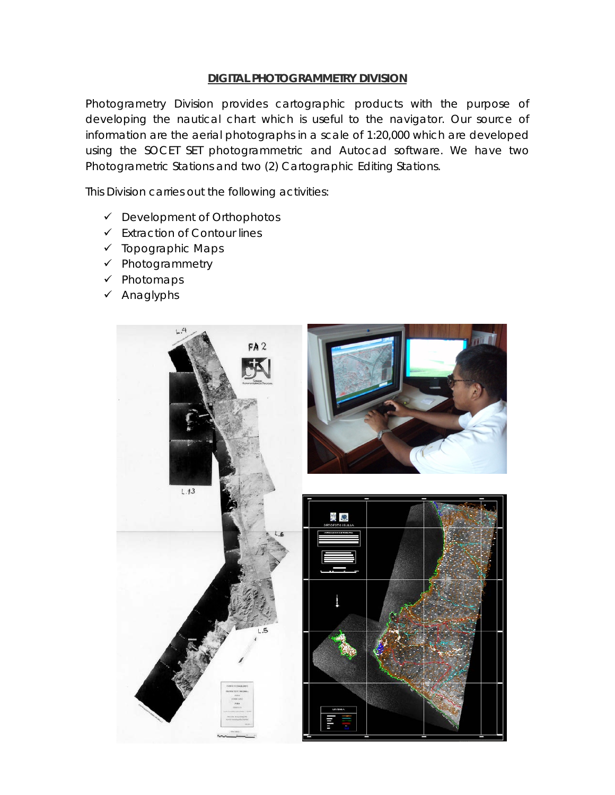#### **DIGITAL PHOTOGRAMMETRY DIVISION**

Photogrametry Division provides cartographic products with the purpose of developing the nautical chart which is useful to the navigator. Our source of information are the aerial photographs in a scale of 1:20,000 which are developed using the SOCET SET photogrammetric and Autocad software. We have two Photogrametric Stations and two (2) Cartographic Editing Stations.

This Division carries out the following activities:

- Development of Orthophotos
- $\checkmark$  Extraction of Contour lines
- $\checkmark$  Topographic Maps
- $\checkmark$  Photogrammetry
- $\checkmark$  Photomaps
- $\checkmark$  Anaglyphs